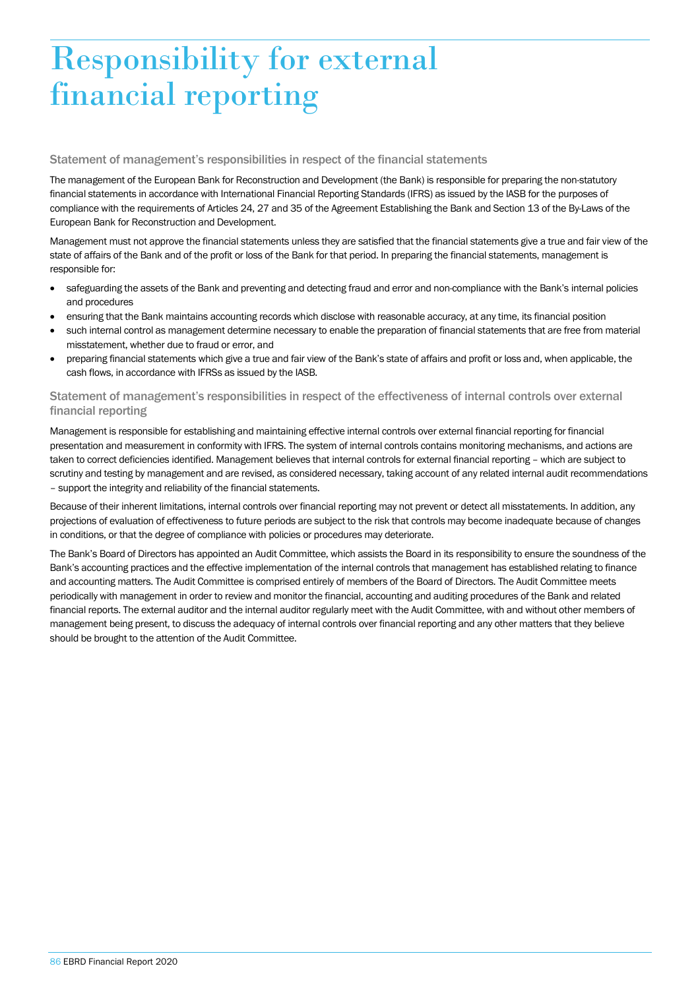## Responsibility for external financial reporting

## Statement of management's responsibilities in respect of the financial statements

The management of the European Bank for Reconstruction and Development (the Bank) is responsible for preparing the non-statutory financial statements in accordance with International Financial Reporting Standards (IFRS) as issued by the IASB for the purposes of compliance with the requirements of Articles 24, 27 and 35 of the Agreement Establishing the Bank and Section 13 of the By-Laws of the European Bank for Reconstruction and Development.

Management must not approve the financial statements unless they are satisfied that the financial statements give a true and fair view of the state of affairs of the Bank and of the profit or loss of the Bank for that period. In preparing the financial statements, management is responsible for:

- safeguarding the assets of the Bank and preventing and detecting fraud and error and non-compliance with the Bank's internal policies and procedures
- ensuring that the Bank maintains accounting records which disclose with reasonable accuracy, at any time, its financial position
- such internal control as management determine necessary to enable the preparation of financial statements that are free from material misstatement, whether due to fraud or error, and
- preparing financial statements which give a true and fair view of the Bank's state of affairs and profit or loss and, when applicable, the cash flows, in accordance with IFRSs as issued by the IASB.

## Statement of management's responsibilities in respect of the effectiveness of internal controls over external financial reporting

Management is responsible for establishing and maintaining effective internal controls over external financial reporting for financial presentation and measurement in conformity with IFRS. The system of internal controls contains monitoring mechanisms, and actions are taken to correct deficiencies identified. Management believes that internal controls for external financial reporting – which are subject to scrutiny and testing by management and are revised, as considered necessary, taking account of any related internal audit recommendations – support the integrity and reliability of the financial statements.

Because of their inherent limitations, internal controls over financial reporting may not prevent or detect all misstatements. In addition, any projections of evaluation of effectiveness to future periods are subject to the risk that controls may become inadequate because of changes in conditions, or that the degree of compliance with policies or procedures may deteriorate.

The Bank's Board of Directors has appointed an Audit Committee, which assists the Board in its responsibility to ensure the soundness of the Bank's accounting practices and the effective implementation of the internal controls that management has established relating to finance and accounting matters. The Audit Committee is comprised entirely of members of the Board of Directors. The Audit Committee meets periodically with management in order to review and monitor the financial, accounting and auditing procedures of the Bank and related financial reports. The external auditor and the internal auditor regularly meet with the Audit Committee, with and without other members of management being present, to discuss the adequacy of internal controls over financial reporting and any other matters that they believe should be brought to the attention of the Audit Committee.